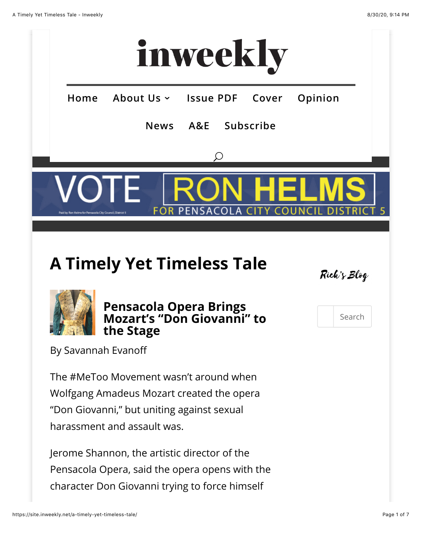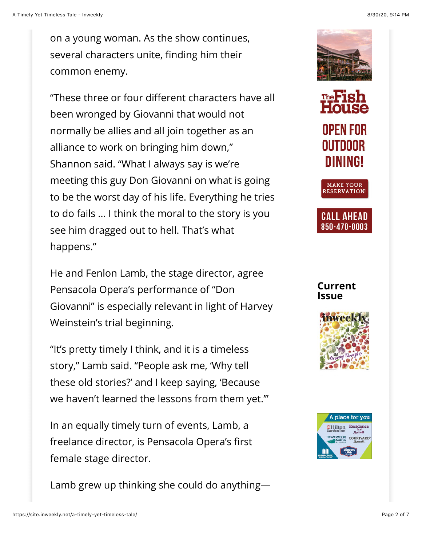on a young woman. As the show continues, several characters unite, finding him their common enemy.

"These three or four different characters have all been wronged by Giovanni that would not normally be allies and all join together as an alliance to work on bringing him down," Shannon said. "What I always say is we're meeting this guy Don Giovanni on what is going to be the worst day of his life. Everything he tries to do fails … I think the moral to the story is you see him dragged out to hell. That's what happens."

He and Fenlon Lamb, the stage director, agree Pensacola Opera's performance of "Don Giovanni" is especially relevant in light of Harvey Weinstein's trial beginning.

"It's pretty timely I think, and it is a timeless story," Lamb said. "People ask me, 'Why tell these old stories?' and I keep saying, 'Because we haven't learned the lessons from them yet.'"

In an equally timely turn of events, Lamb, a freelance director, is Pensacola Opera's first female stage director.

Lamb grew up thinking she could do anything—









**Current Issue**



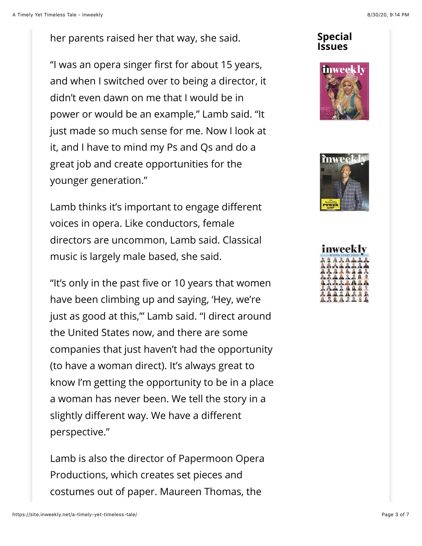her parents raised her that way, she said.

"I was an opera singer first for about 15 years, and when I switched over to being a director, it didn't even dawn on me that I would be in power or would be an example," Lamb said. "It just made so much sense for me. Now I look at it, and I have to mind my Ps and Qs and do a great job and create opportunities for the younger generation."

Lamb thinks it's important to engage different voices in opera. Like conductors, female directors are uncommon, Lamb said. Classical music is largely male based, she said.

"It's only in the past five or 10 years that women have been climbing up and saying, 'Hey, we're just as good at this,'" Lamb said. "I direct around the United States now, and there are some companies that just haven't had the opportunity (to have a woman direct). It's always great to know I'm getting the opportunity to be in a place a woman has never been. We tell the story in a slightly different way. We have a different perspective."

Lamb is also the director of Papermoon Opera Productions, which creates set pieces and costumes out of paper. Maureen Thomas, the

## **Special Issues**





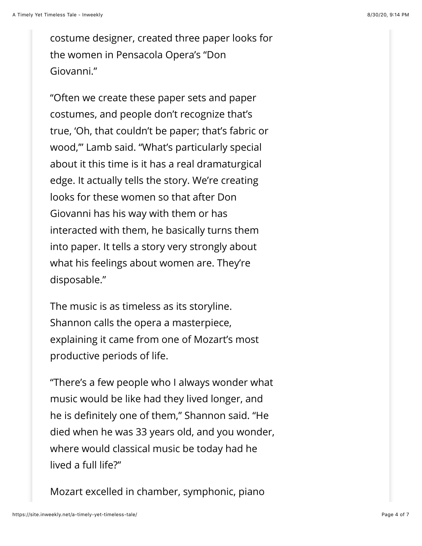costume designer, created three paper looks for the women in Pensacola Opera's "Don Giovanni."

"Often we create these paper sets and paper costumes, and people don't recognize that's true, 'Oh, that couldn't be paper; that's fabric or wood,'" Lamb said. "What's particularly special about it this time is it has a real dramaturgical edge. It actually tells the story. We're creating looks for these women so that after Don Giovanni has his way with them or has interacted with them, he basically turns them into paper. It tells a story very strongly about what his feelings about women are. They're disposable."

The music is as timeless as its storyline. Shannon calls the opera a masterpiece, explaining it came from one of Mozart's most productive periods of life.

"There's a few people who I always wonder what music would be like had they lived longer, and he is definitely one of them," Shannon said. "He died when he was 33 years old, and you wonder, where would classical music be today had he lived a full life?"

Mozart excelled in chamber, symphonic, piano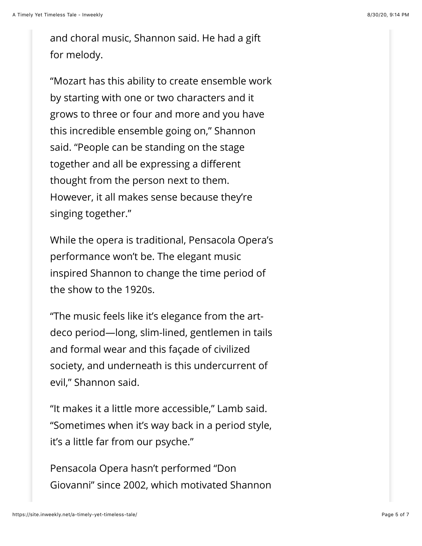and choral music, Shannon said. He had a gift for melody.

"Mozart has this ability to create ensemble work by starting with one or two characters and it grows to three or four and more and you have this incredible ensemble going on," Shannon said. "People can be standing on the stage together and all be expressing a different thought from the person next to them. However, it all makes sense because they're singing together."

While the opera is traditional, Pensacola Opera's performance won't be. The elegant music inspired Shannon to change the time period of the show to the 1920s.

"The music feels like it's elegance from the artdeco period—long, slim-lined, gentlemen in tails and formal wear and this façade of civilized society, and underneath is this undercurrent of evil," Shannon said.

"It makes it a little more accessible," Lamb said. "Sometimes when it's way back in a period style, it's a little far from our psyche."

Pensacola Opera hasn't performed "Don Giovanni" since 2002, which motivated Shannon